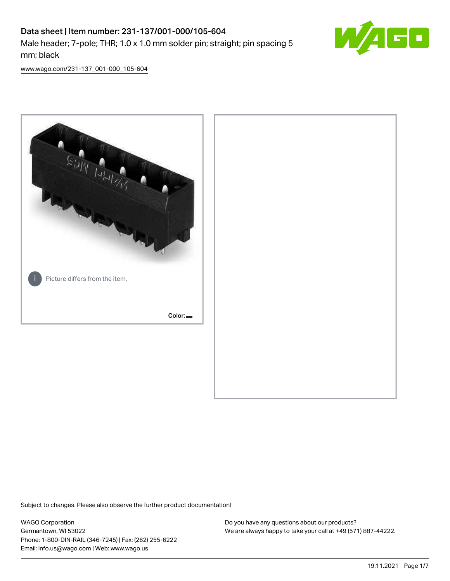# Data sheet | Item number: 231-137/001-000/105-604 Male header; 7-pole; THR; 1.0 x 1.0 mm solder pin; straight; pin spacing 5 mm; black



[www.wago.com/231-137\\_001-000\\_105-604](http://www.wago.com/231-137_001-000_105-604)



Subject to changes. Please also observe the further product documentation!

WAGO Corporation Germantown, WI 53022 Phone: 1-800-DIN-RAIL (346-7245) | Fax: (262) 255-6222 Email: info.us@wago.com | Web: www.wago.us

Do you have any questions about our products? We are always happy to take your call at +49 (571) 887-44222.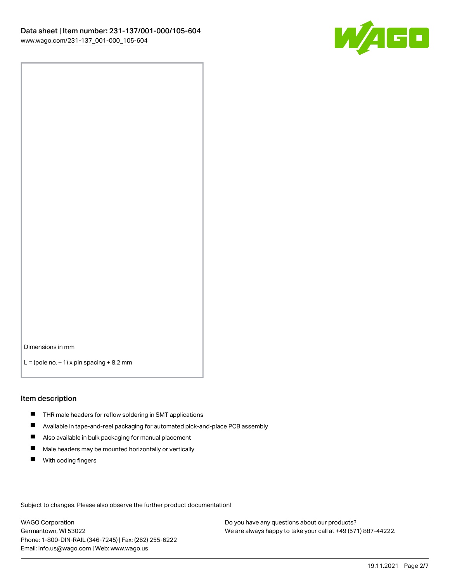

Dimensions in mm

 $L =$  (pole no.  $-1$ ) x pin spacing  $+8.2$  mm

#### Item description

- **THR** male headers for reflow soldering in SMT applications
- $\blacksquare$ Available in tape-and-reel packaging for automated pick-and-place PCB assembly
- $\blacksquare$ Also available in bulk packaging for manual placement
- $\blacksquare$ Male headers may be mounted horizontally or vertically
- **With coding fingers**

Subject to changes. Please also observe the further product documentation!

WAGO Corporation Germantown, WI 53022 Phone: 1-800-DIN-RAIL (346-7245) | Fax: (262) 255-6222 Email: info.us@wago.com | Web: www.wago.us

Do you have any questions about our products? We are always happy to take your call at +49 (571) 887-44222.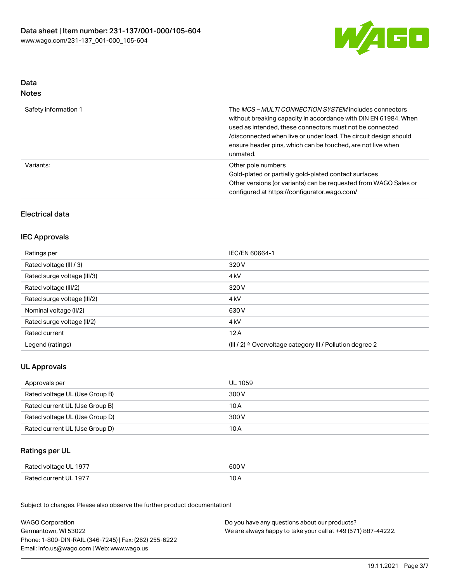

#### Data Notes

| Safety information 1 | The MCS-MULTI CONNECTION SYSTEM includes connectors<br>without breaking capacity in accordance with DIN EN 61984. When<br>used as intended, these connectors must not be connected<br>/disconnected when live or under load. The circuit design should<br>ensure header pins, which can be touched, are not live when<br>unmated. |
|----------------------|-----------------------------------------------------------------------------------------------------------------------------------------------------------------------------------------------------------------------------------------------------------------------------------------------------------------------------------|
| Variants:            | Other pole numbers<br>Gold-plated or partially gold-plated contact surfaces<br>Other versions (or variants) can be requested from WAGO Sales or<br>configured at https://configurator.wago.com/                                                                                                                                   |

## Electrical data

#### IEC Approvals

| Ratings per                 | IEC/EN 60664-1                                                       |
|-----------------------------|----------------------------------------------------------------------|
| Rated voltage (III / 3)     | 320 V                                                                |
| Rated surge voltage (III/3) | 4 <sub>kV</sub>                                                      |
| Rated voltage (III/2)       | 320 V                                                                |
| Rated surge voltage (III/2) | 4 <sub>kV</sub>                                                      |
| Nominal voltage (II/2)      | 630 V                                                                |
| Rated surge voltage (II/2)  | 4 <sub>kV</sub>                                                      |
| Rated current               | 12A                                                                  |
| Legend (ratings)            | (III / 2) $\triangleq$ Overvoltage category III / Pollution degree 2 |

### UL Approvals

| Approvals per                  | UL 1059 |
|--------------------------------|---------|
| Rated voltage UL (Use Group B) | 300 V   |
| Rated current UL (Use Group B) | 10 A    |
| Rated voltage UL (Use Group D) | 300 V   |
| Rated current UL (Use Group D) | 10 A    |

#### Ratings per UL

| Rated voltage UL 1977 | 600 V |
|-----------------------|-------|
| Rated current UL 1977 | ∣ ∪ ⊬ |

| <b>WAGO Corporation</b>                                | Do you have any questions about our products?                 |
|--------------------------------------------------------|---------------------------------------------------------------|
| Germantown, WI 53022                                   | We are always happy to take your call at +49 (571) 887-44222. |
| Phone: 1-800-DIN-RAIL (346-7245)   Fax: (262) 255-6222 |                                                               |
| Email: info.us@wago.com   Web: www.wago.us             |                                                               |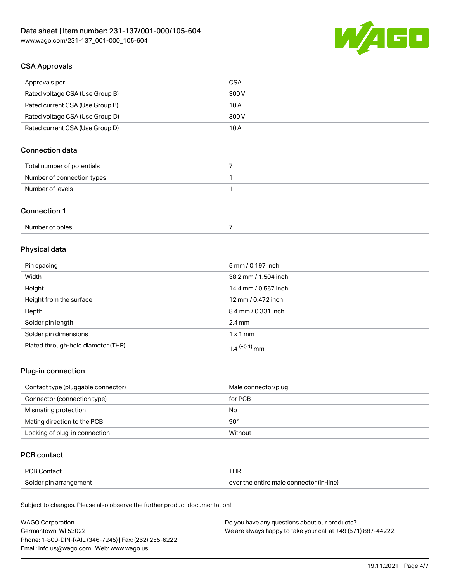

### CSA Approvals

| Approvals per                   | CSA   |
|---------------------------------|-------|
| Rated voltage CSA (Use Group B) | 300 V |
| Rated current CSA (Use Group B) | 10 A  |
| Rated voltage CSA (Use Group D) | 300 V |
| Rated current CSA (Use Group D) | 10 A  |

### Connection data

| Total number of potentials |  |
|----------------------------|--|
| Number of connection types |  |
| Number of levels           |  |

#### Connection 1

## Physical data

| Pin spacing                        | 5 mm / 0.197 inch    |
|------------------------------------|----------------------|
| Width                              | 38.2 mm / 1.504 inch |
| Height                             | 14.4 mm / 0.567 inch |
| Height from the surface            | 12 mm / 0.472 inch   |
| Depth                              | 8.4 mm / 0.331 inch  |
| Solder pin length                  | $2.4 \text{ mm}$     |
| Solder pin dimensions              | $1 \times 1$ mm      |
| Plated through-hole diameter (THR) | $1.4$ $(+0.1)$ mm    |

#### Plug-in connection

| Contact type (pluggable connector) | Male connector/plug |
|------------------------------------|---------------------|
| Connector (connection type)        | for PCB             |
| Mismating protection               | No                  |
| Mating direction to the PCB        | $90^{\circ}$        |
| Locking of plug-in connection      | Without             |

#### PCB contact

| <b>PCB Contact</b>     | THR                                      |
|------------------------|------------------------------------------|
| Solder pin arrangement | over the entire male connector (in-line) |

| <b>WAGO Corporation</b>                                | Do you have any questions about our products?                 |
|--------------------------------------------------------|---------------------------------------------------------------|
| Germantown, WI 53022                                   | We are always happy to take your call at +49 (571) 887-44222. |
| Phone: 1-800-DIN-RAIL (346-7245)   Fax: (262) 255-6222 |                                                               |
| Email: info.us@wago.com   Web: www.wago.us             |                                                               |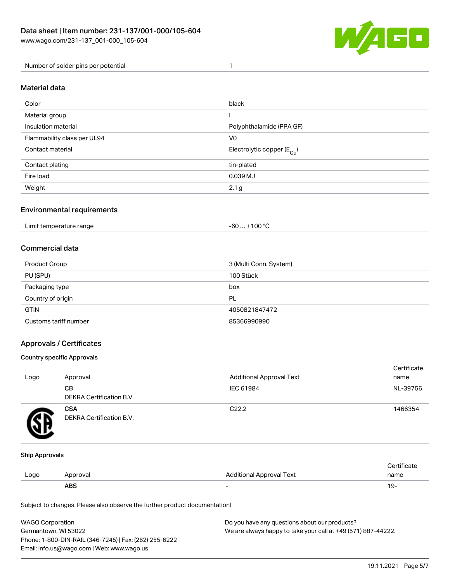

Number of solder pins per potential 1

#### Material data

| Color                       | black                                  |
|-----------------------------|----------------------------------------|
| Material group              |                                        |
| Insulation material         | Polyphthalamide (PPA GF)               |
| Flammability class per UL94 | V <sub>0</sub>                         |
| Contact material            | Electrolytic copper (E <sub>Cu</sub> ) |
| Contact plating             | tin-plated                             |
| Fire load                   | 0.039 MJ                               |
| Weight                      | 2.1 <sub>g</sub>                       |

#### Environmental requirements

Limit temperature range  $-60... +100$  °C

#### Commercial data

| Product Group         | 3 (Multi Conn. System) |
|-----------------------|------------------------|
| PU (SPU)              | 100 Stück              |
| Packaging type        | box                    |
| Country of origin     | PL                     |
| <b>GTIN</b>           | 4050821847472          |
| Customs tariff number | 85366990990            |

#### Approvals / Certificates

#### Country specific Approvals

| Logo | Approval                               | <b>Additional Approval Text</b> | Certificate<br>name |
|------|----------------------------------------|---------------------------------|---------------------|
|      | <b>CB</b><br>DEKRA Certification B.V.  | IEC 61984                       | NL-39756            |
|      | <b>CSA</b><br>DEKRA Certification B.V. | C <sub>22.2</sub>               | 1466354             |

#### Ship Approvals

|      | ABS      | -                        | ιУ۰         |
|------|----------|--------------------------|-------------|
| Logo | Approval | Additional Approval Text | name        |
|      |          |                          | ∵ertificate |

| <b>WAGO Corporation</b>                                | Do you have any questions about our products?                 |
|--------------------------------------------------------|---------------------------------------------------------------|
| Germantown, WI 53022                                   | We are always happy to take your call at +49 (571) 887-44222. |
| Phone: 1-800-DIN-RAIL (346-7245)   Fax: (262) 255-6222 |                                                               |
| Email: info.us@wago.com   Web: www.wago.us             |                                                               |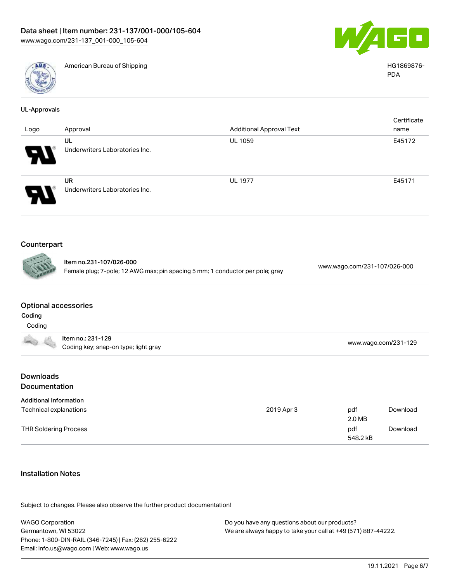

UL-Approvals

American Bureau of Shipping National American Bureau of Shipping HG1869876-



PDA

**Certificate** name

| Logo | Approval                             |
|------|--------------------------------------|
|      | UL<br>Underwriters Laboratories Inc. |
|      | UR<br>Underwriters Laboratories Inc. |

## Counterpart

Item no.231-107/026-000 Female plug; 7-pole; 12 AWG max; pin spacing 5 mm; 1 conductor per pole; gray [www.wago.com/231-107/026-000](https://www.wago.com/231-107/026-000)

#### Optional accessories

| Coding |                                                           |                      |
|--------|-----------------------------------------------------------|----------------------|
| Coding |                                                           |                      |
|        | ltem no.: 231-129<br>Coding key; snap-on type; light gray | www.wago.com/231-129 |

Additional Approval Text

UL 1059 E45172

UL 1977 E45171

#### **Downloads Documentation**

| <b>Additional Information</b> |            |                 |          |
|-------------------------------|------------|-----------------|----------|
| Technical explanations        | 2019 Apr 3 | pdf<br>2.0 MB   | Download |
| <b>THR Soldering Process</b>  |            | pdf<br>548.2 kB | Download |

#### Installation Notes

| <b>WAGO Corporation</b>                                | Do you have any questions about our products?                 |
|--------------------------------------------------------|---------------------------------------------------------------|
| Germantown, WI 53022                                   | We are always happy to take your call at +49 (571) 887-44222. |
| Phone: 1-800-DIN-RAIL (346-7245)   Fax: (262) 255-6222 |                                                               |
| Email: info.us@wago.com   Web: www.wago.us             |                                                               |